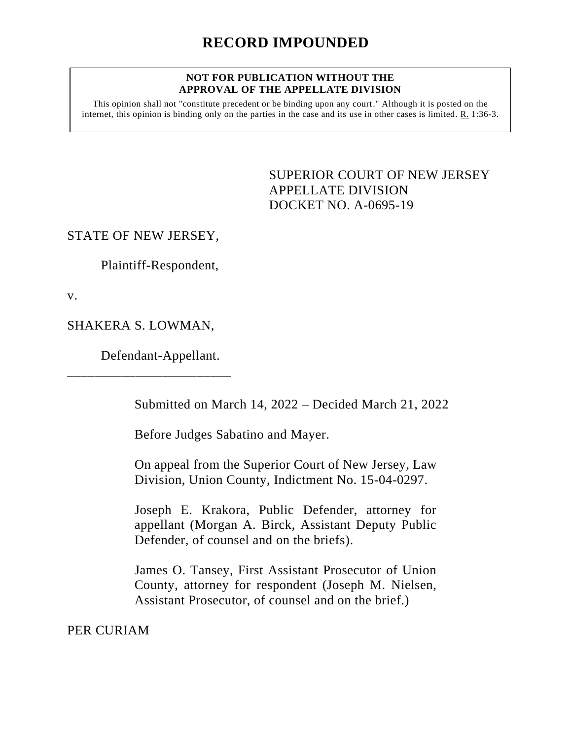## **NOT FOR PUBLICATION WITHOUT THE APPROVAL OF THE APPELLATE DIVISION**

This opinion shall not "constitute precedent or be binding upon any court." Although it is posted on the internet, this opinion is binding only on the parties in the case and its use in other cases is limited. R. 1:36-3.

> <span id="page-0-0"></span>SUPERIOR COURT OF NEW JERSEY APPELLATE DIVISION DOCKET NO. A-0695-19

## STATE OF NEW JERSEY,

Plaintiff-Respondent,

v.

SHAKERA S. LOWMAN,

Defendant-Appellant.

\_\_\_\_\_\_\_\_\_\_\_\_\_\_\_\_\_\_\_\_\_\_\_\_

Submitted on March 14, 2022 – Decided March 21, 2022

Before Judges Sabatino and Mayer.

On appeal from the Superior Court of New Jersey, Law Division, Union County, Indictment No. 15-04-0297.

Joseph E. Krakora, Public Defender, attorney for appellant (Morgan A. Birck, Assistant Deputy Public Defender, of counsel and on the briefs).

James O. Tansey, First Assistant Prosecutor of Union County, attorney for respondent (Joseph M. Nielsen, Assistant Prosecutor, of counsel and on the brief.)

PER CURIAM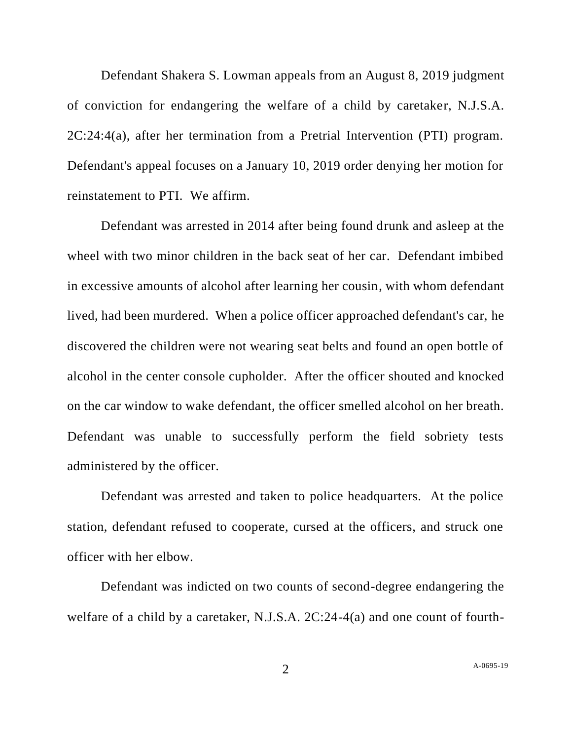Defendant Shakera S. Lowman appeals from an August 8, 2019 judgment of conviction for endangering the welfare of a child by caretaker, N.J.S.A. 2C:24:4(a), after her termination from a Pretrial Intervention (PTI) program. Defendant's appeal focuses on a January 10, 2019 order denying her motion for reinstatement to PTI. We affirm.

Defendant was arrested in 2014 after being found drunk and asleep at the wheel with two minor children in the back seat of her car. Defendant imbibed in excessive amounts of alcohol after learning her cousin, with whom defendant lived, had been murdered. When a police officer approached defendant's car, he discovered the children were not wearing seat belts and found an open bottle of alcohol in the center console cupholder. After the officer shouted and knocked on the car window to wake defendant, the officer smelled alcohol on her breath. Defendant was unable to successfully perform the field sobriety tests administered by the officer.

Defendant was arrested and taken to police headquarters. At the police station, defendant refused to cooperate, cursed at the officers, and struck one officer with her elbow.

Defendant was indicted on two counts of second-degree endangering the welfare of a child by a caretaker, N.J.S.A. 2C:24-4(a) and one count of fourth-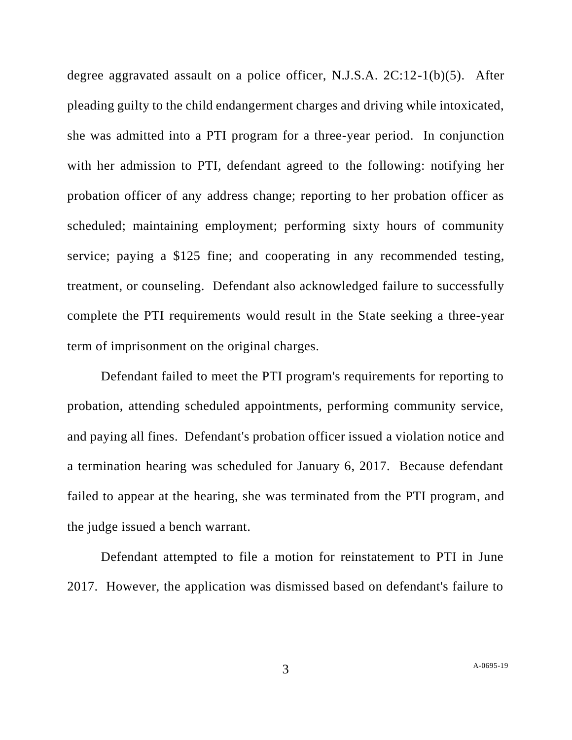degree aggravated assault on a police officer, N.J.S.A. 2C:12-1(b)(5). After pleading guilty to the child endangerment charges and driving while intoxicated, she was admitted into a PTI program for a three-year period. In conjunction with her admission to PTI, defendant agreed to the following: notifying her probation officer of any address change; reporting to her probation officer as scheduled; maintaining employment; performing sixty hours of community service; paying a \$125 fine; and cooperating in any recommended testing, treatment, or counseling. Defendant also acknowledged failure to successfully complete the PTI requirements would result in the State seeking a three-year term of imprisonment on the original charges.

Defendant failed to meet the PTI program's requirements for reporting to probation, attending scheduled appointments, performing community service, and paying all fines. Defendant's probation officer issued a violation notice and a termination hearing was scheduled for January 6, 2017. Because defendant failed to appear at the hearing, she was terminated from the PTI program, and the judge issued a bench warrant.

Defendant attempted to file a motion for reinstatement to PTI in June 2017. However, the application was dismissed based on defendant's failure to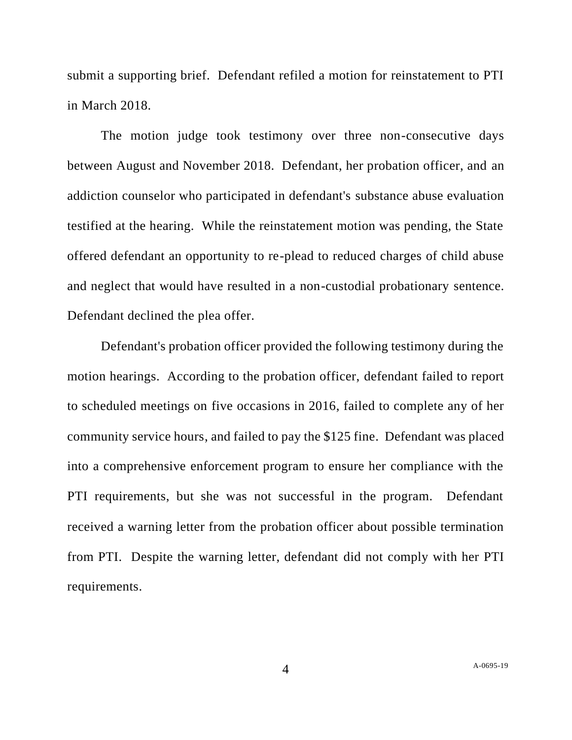submit a supporting brief. Defendant refiled a motion for reinstatement to PTI in March 2018.

The motion judge took testimony over three non-consecutive days between August and November 2018. Defendant, her probation officer, and an addiction counselor who participated in defendant's substance abuse evaluation testified at the hearing. While the reinstatement motion was pending, the State offered defendant an opportunity to re-plead to reduced charges of child abuse and neglect that would have resulted in a non-custodial probationary sentence. Defendant declined the plea offer.

Defendant's probation officer provided the following testimony during the motion hearings. According to the probation officer, defendant failed to report to scheduled meetings on five occasions in 2016, failed to complete any of her community service hours, and failed to pay the \$125 fine. Defendant was placed into a comprehensive enforcement program to ensure her compliance with the PTI requirements, but she was not successful in the program. Defendant received a warning letter from the probation officer about possible termination from PTI. Despite the warning letter, defendant did not comply with her PTI requirements.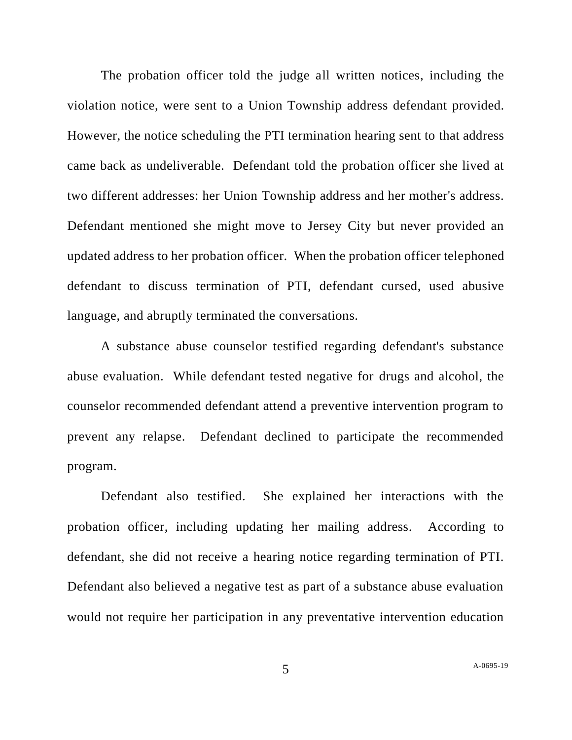The probation officer told the judge all written notices, including the violation notice, were sent to a Union Township address defendant provided. However, the notice scheduling the PTI termination hearing sent to that address came back as undeliverable. Defendant told the probation officer she lived at two different addresses: her Union Township address and her mother's address. Defendant mentioned she might move to Jersey City but never provided an updated address to her probation officer. When the probation officer telephoned defendant to discuss termination of PTI, defendant cursed, used abusive language, and abruptly terminated the conversations.

A substance abuse counselor testified regarding defendant's substance abuse evaluation. While defendant tested negative for drugs and alcohol, the counselor recommended defendant attend a preventive intervention program to prevent any relapse. Defendant declined to participate the recommended program.

Defendant also testified. She explained her interactions with the probation officer, including updating her mailing address. According to defendant, she did not receive a hearing notice regarding termination of PTI. Defendant also believed a negative test as part of a substance abuse evaluation would not require her participation in any preventative intervention education

5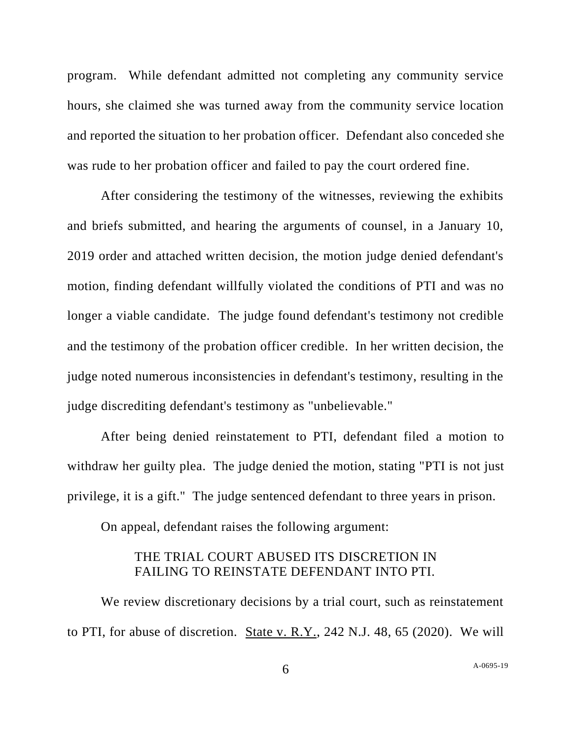program. While defendant admitted not completing any community service hours, she claimed she was turned away from the community service location and reported the situation to her probation officer. Defendant also conceded she was rude to her probation officer and failed to pay the court ordered fine.

After considering the testimony of the witnesses, reviewing the exhibits and briefs submitted, and hearing the arguments of counsel, in a January 10, 2019 order and attached written decision, the motion judge denied defendant's motion, finding defendant willfully violated the conditions of PTI and was no longer a viable candidate. The judge found defendant's testimony not credible and the testimony of the probation officer credible. In her written decision, the judge noted numerous inconsistencies in defendant's testimony, resulting in the judge discrediting defendant's testimony as "unbelievable."

After being denied reinstatement to PTI, defendant filed a motion to withdraw her guilty plea. The judge denied the motion, stating "PTI is not just privilege, it is a gift." The judge sentenced defendant to three years in prison.

On appeal, defendant raises the following argument:

## THE TRIAL COURT ABUSED ITS DISCRETION IN FAILING TO REINSTATE DEFENDANT INTO PTI.

We review discretionary decisions by a trial court, such as reinstatement to PTI, for abuse of discretion. State v. R.Y., 242 N.J. 48, 65 (2020). We will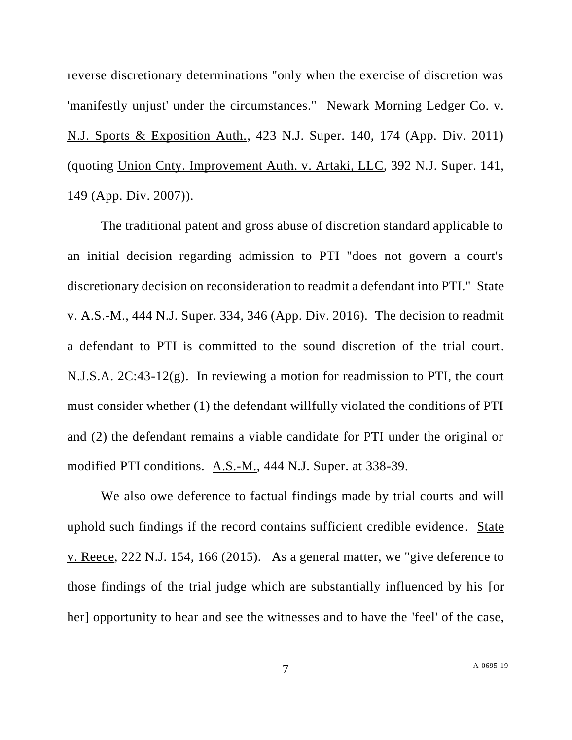reverse discretionary determinations "only when the exercise of discretion was 'manifestly unjust' under the circumstances." Newark Morning Ledger Co. v. N.J. Sports & Exposition Auth., 423 N.J. Super. 140, 174 (App. Div. 2011) (quoting Union Cnty. Improvement Auth. v. Artaki, LLC, 392 N.J. Super. 141, 149 (App. Div. 2007)).

The traditional patent and gross abuse of discretion standard applicable to an initial decision regarding admission to PTI "does not govern a court's discretionary decision on reconsideration to readmit a defendant into PTI." State v. A.S.-M., 444 N.J. Super. 334, 346 (App. Div. 2016). The decision to readmit a defendant to PTI is committed to the sound discretion of the trial court. N.J.S.A. 2C:43-12(g). In reviewing a motion for readmission to PTI, the court must consider whether (1) the defendant willfully violated the conditions of PTI and (2) the defendant remains a viable candidate for PTI under the original or modified PTI conditions. A.S.-M., 444 N.J. Super. at 338-39.

We also owe deference to factual findings made by trial courts and will uphold such findings if the record contains sufficient credible evidence . State v. Reece, 222 N.J. 154, 166 (2015). As a general matter, we "give deference to those findings of the trial judge which are substantially influenced by his [or her] opportunity to hear and see the witnesses and to have the 'feel' of the case,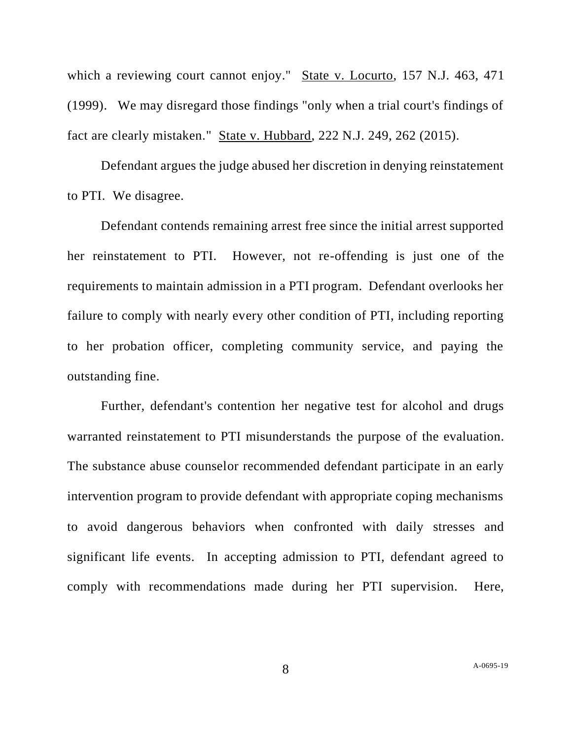which a reviewing court cannot enjoy." State v. Locurto, 157 N.J. 463, 471 (1999). We may disregard those findings "only when a trial court's findings of fact are clearly mistaken." State v. Hubbard, 222 N.J. 249, 262 (2015).

Defendant argues the judge abused her discretion in denying reinstatement to PTI. We disagree.

Defendant contends remaining arrest free since the initial arrest supported her reinstatement to PTI. However, not re-offending is just one of the requirements to maintain admission in a PTI program. Defendant overlooks her failure to comply with nearly every other condition of PTI, including reporting to her probation officer, completing community service, and paying the outstanding fine.

Further, defendant's contention her negative test for alcohol and drugs warranted reinstatement to PTI misunderstands the purpose of the evaluation. The substance abuse counselor recommended defendant participate in an early intervention program to provide defendant with appropriate coping mechanisms to avoid dangerous behaviors when confronted with daily stresses and significant life events. In accepting admission to PTI, defendant agreed to comply with recommendations made during her PTI supervision. Here,